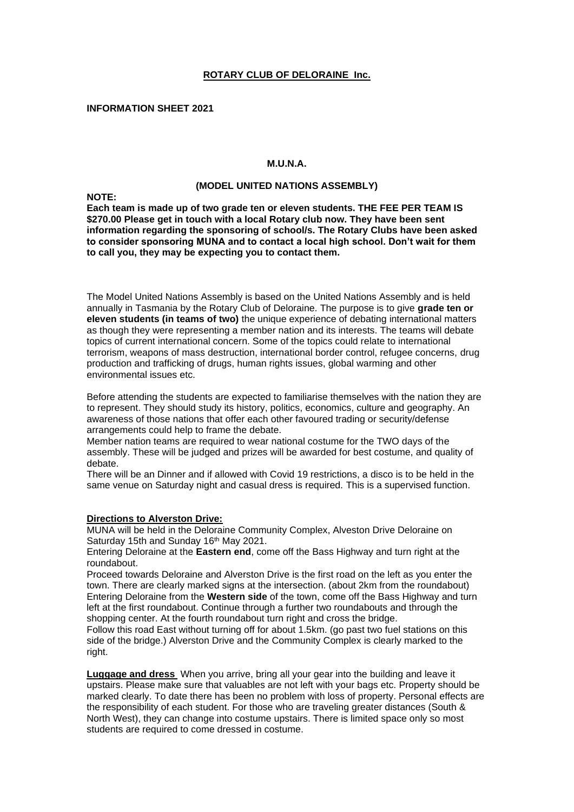#### **ROTARY CLUB OF DELORAINE Inc.**

**INFORMATION SHEET 2021**

# **M.U.N.A.**

## **(MODEL UNITED NATIONS ASSEMBLY)**

**NOTE:**

**Each team is made up of two grade ten or eleven students. THE FEE PER TEAM IS \$270.00 Please get in touch with a local Rotary club now. They have been sent information regarding the sponsoring of school/s. The Rotary Clubs have been asked to consider sponsoring MUNA and to contact a local high school. Don't wait for them to call you, they may be expecting you to contact them.**

The Model United Nations Assembly is based on the United Nations Assembly and is held annually in Tasmania by the Rotary Club of Deloraine. The purpose is to give **grade ten or eleven students (in teams of two)** the unique experience of debating international matters as though they were representing a member nation and its interests. The teams will debate topics of current international concern. Some of the topics could relate to international terrorism, weapons of mass destruction, international border control, refugee concerns, drug production and trafficking of drugs, human rights issues, global warming and other environmental issues etc.

Before attending the students are expected to familiarise themselves with the nation they are to represent. They should study its history, politics, economics, culture and geography. An awareness of those nations that offer each other favoured trading or security/defense arrangements could help to frame the debate.

Member nation teams are required to wear national costume for the TWO days of the assembly. These will be judged and prizes will be awarded for best costume, and quality of debate.

There will be an Dinner and if allowed with Covid 19 restrictions, a disco is to be held in the same venue on Saturday night and casual dress is required. This is a supervised function.

#### **Directions to Alverston Drive:**

MUNA will be held in the Deloraine Community Complex, Alveston Drive Deloraine on Saturday 15th and Sunday 16<sup>th</sup> May 2021.

Entering Deloraine at the **Eastern end**, come off the Bass Highway and turn right at the roundabout.

Proceed towards Deloraine and Alverston Drive is the first road on the left as you enter the town. There are clearly marked signs at the intersection. (about 2km from the roundabout) Entering Deloraine from the **Western side** of the town, come off the Bass Highway and turn left at the first roundabout. Continue through a further two roundabouts and through the shopping center. At the fourth roundabout turn right and cross the bridge.

Follow this road East without turning off for about 1.5km. (go past two fuel stations on this side of the bridge.) Alverston Drive and the Community Complex is clearly marked to the right.

**Luggage and dress** When you arrive, bring all your gear into the building and leave it upstairs. Please make sure that valuables are not left with your bags etc. Property should be marked clearly. To date there has been no problem with loss of property. Personal effects are the responsibility of each student. For those who are traveling greater distances (South & North West), they can change into costume upstairs. There is limited space only so most students are required to come dressed in costume.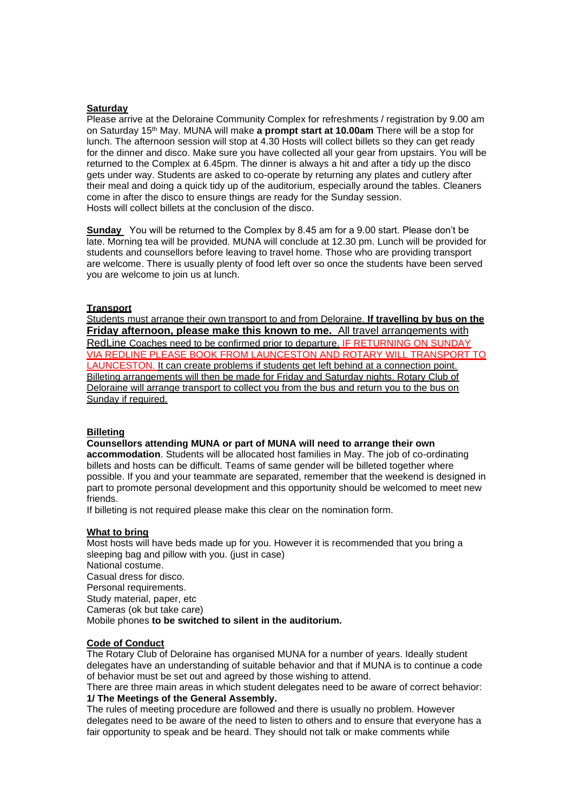# **Saturday**

Please arrive at the Deloraine Community Complex for refreshments / registration by 9.00 am on Saturday 15 th May. MUNA will make **a prompt start at 10.00am** There will be a stop for lunch. The afternoon session will stop at 4.30 Hosts will collect billets so they can get ready for the dinner and disco. Make sure you have collected all your gear from upstairs. You will be returned to the Complex at 6.45pm. The dinner is always a hit and after a tidy up the disco gets under way. Students are asked to co-operate by returning any plates and cutlery after their meal and doing a quick tidy up of the auditorium, especially around the tables. Cleaners come in after the disco to ensure things are ready for the Sunday session. Hosts will collect billets at the conclusion of the disco.

**Sunday** You will be returned to the Complex by 8.45 am for a 9.00 start. Please don't be late. Morning tea will be provided. MUNA will conclude at 12.30 pm. Lunch will be provided for students and counsellors before leaving to travel home. Those who are providing transport are welcome. There is usually plenty of food left over so once the students have been served you are welcome to join us at lunch.

## **Transport**

Students must arrange their own transport to and from Deloraine. **If travelling by bus on the Friday afternoon, please make this known to me.** All travel arrangements with RedLine Coaches need to be confirmed prior to departure. IF RETURNING ON SUNDAY VIA REDLINE PLEASE BOOK FROM LAUNCESTON AND ROTARY WILL TRANSPORT TO LAUNCESTON. It can create problems if students get left behind at a connection point. Billeting arrangements will then be made for Friday and Saturday nights. Rotary Club of Deloraine will arrange transport to collect you from the bus and return you to the bus on Sunday if required.

## **Billeting**

**Counsellors attending MUNA or part of MUNA will need to arrange their own accommodation**. Students will be allocated host families in May. The job of co-ordinating billets and hosts can be difficult. Teams of same gender will be billeted together where possible. If you and your teammate are separated, remember that the weekend is designed in part to promote personal development and this opportunity should be welcomed to meet new friends.

If billeting is not required please make this clear on the nomination form.

## **What to bring**

Most hosts will have beds made up for you. However it is recommended that you bring a sleeping bag and pillow with you. (just in case) National costume. Casual dress for disco. Personal requirements. Study material, paper, etc Cameras (ok but take care) Mobile phones **to be switched to silent in the auditorium.**

## **Code of Conduct**

The Rotary Club of Deloraine has organised MUNA for a number of years. Ideally student delegates have an understanding of suitable behavior and that if MUNA is to continue a code of behavior must be set out and agreed by those wishing to attend.

There are three main areas in which student delegates need to be aware of correct behavior: **1/ The Meetings of the General Assembly.**

The rules of meeting procedure are followed and there is usually no problem. However delegates need to be aware of the need to listen to others and to ensure that everyone has a fair opportunity to speak and be heard. They should not talk or make comments while